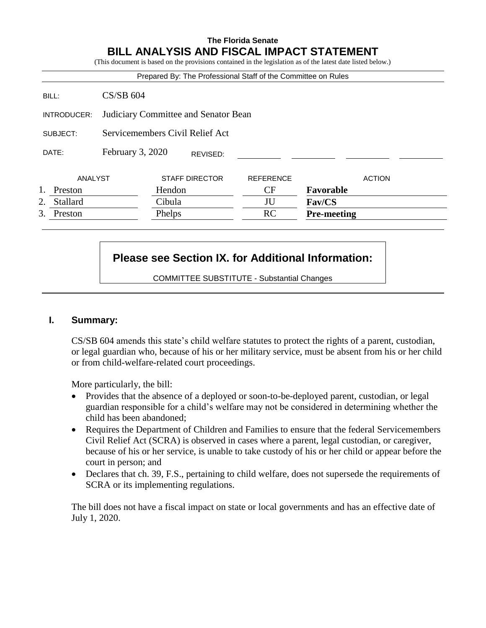## **The Florida Senate BILL ANALYSIS AND FISCAL IMPACT STATEMENT**

(This document is based on the provisions contained in the legislation as of the latest date listed below.)

|                       |                                      | Prepared By: The Professional Staff of the Committee on Rules |                  |                    |  |
|-----------------------|--------------------------------------|---------------------------------------------------------------|------------------|--------------------|--|
| BILL:                 | $CS/SB$ 604                          |                                                               |                  |                    |  |
| INTRODUCER:           | Judiciary Committee and Senator Bean |                                                               |                  |                    |  |
| SUBJECT:              |                                      | Servicemembers Civil Relief Act                               |                  |                    |  |
| DATE:                 | February 3, 2020                     | REVISED:                                                      |                  |                    |  |
| ANALYST               |                                      | <b>STAFF DIRECTOR</b>                                         | <b>REFERENCE</b> | <b>ACTION</b>      |  |
| Preston               |                                      | Hendon                                                        | CF               | Favorable          |  |
| <b>Stallard</b><br>2. |                                      | Cibula                                                        | JU               | Fav/CS             |  |
| 3.<br>Preston         |                                      | Phelps                                                        | RC               | <b>Pre-meeting</b> |  |

# **Please see Section IX. for Additional Information:**

COMMITTEE SUBSTITUTE - Substantial Changes

### **I. Summary:**

CS/SB 604 amends this state's child welfare statutes to protect the rights of a parent, custodian, or legal guardian who, because of his or her military service, must be absent from his or her child or from child-welfare-related court proceedings.

More particularly, the bill:

- Provides that the absence of a deployed or soon-to-be-deployed parent, custodian, or legal guardian responsible for a child's welfare may not be considered in determining whether the child has been abandoned;
- Requires the Department of Children and Families to ensure that the federal Servicemembers Civil Relief Act (SCRA) is observed in cases where a parent, legal custodian, or caregiver, because of his or her service, is unable to take custody of his or her child or appear before the court in person; and
- Declares that ch. 39, F.S., pertaining to child welfare, does not supersede the requirements of SCRA or its implementing regulations.

The bill does not have a fiscal impact on state or local governments and has an effective date of July 1, 2020.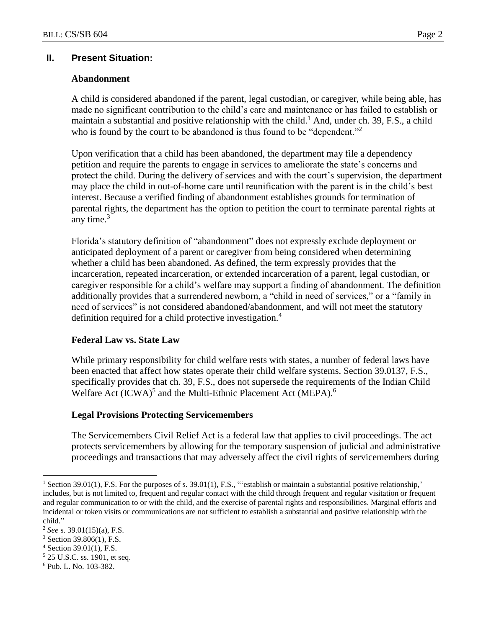### **II. Present Situation:**

### **Abandonment**

A child is considered abandoned if the parent, legal custodian, or caregiver, while being able, has made no significant contribution to the child's care and maintenance or has failed to establish or maintain a substantial and positive relationship with the child.<sup>1</sup> And, under ch. 39, F.S., a child who is found by the court to be abandoned is thus found to be "dependent."<sup>2</sup>

Upon verification that a child has been abandoned, the department may file a dependency petition and require the parents to engage in services to ameliorate the state's concerns and protect the child. During the delivery of services and with the court's supervision, the department may place the child in out-of-home care until reunification with the parent is in the child's best interest. Because a verified finding of abandonment establishes grounds for termination of parental rights, the department has the option to petition the court to terminate parental rights at any time. $3$ 

Florida's statutory definition of "abandonment" does not expressly exclude deployment or anticipated deployment of a parent or caregiver from being considered when determining whether a child has been abandoned. As defined, the term expressly provides that the incarceration, repeated incarceration, or extended incarceration of a parent, legal custodian, or caregiver responsible for a child's welfare may support a finding of abandonment. The definition additionally provides that a surrendered newborn, a "child in need of services," or a "family in need of services" is not considered abandoned/abandonment, and will not meet the statutory definition required for a child protective investigation.<sup>4</sup>

### **Federal Law vs. State Law**

While primary responsibility for child welfare rests with states, a number of federal laws have been enacted that affect how states operate their child welfare systems. Section 39.0137, F.S., specifically provides that ch. 39, F.S., does not supersede the requirements of the Indian Child Welfare Act (ICWA)<sup>5</sup> and the Multi-Ethnic Placement Act (MEPA).<sup>6</sup>

### **Legal Provisions Protecting Servicemembers**

The Servicemembers Civil Relief Act is a federal law that applies to civil proceedings. The act protects servicemembers by allowing for the temporary suspension of judicial and administrative proceedings and transactions that may adversely affect the civil rights of servicemembers during

 $\overline{a}$ 

<sup>&</sup>lt;sup>1</sup> Section 39.01(1), F.S. For the purposes of s. 39.01(1), F.S., "'establish or maintain a substantial positive relationship,' includes, but is not limited to, frequent and regular contact with the child through frequent and regular visitation or frequent and regular communication to or with the child, and the exercise of parental rights and responsibilities. Marginal efforts and incidental or token visits or communications are not sufficient to establish a substantial and positive relationship with the child."

<sup>2</sup> *See* s. 39.01(15)(a), F.S.

<sup>3</sup> Section 39.806(1), F.S.

 $4$  Section 39.01(1), F.S.

<sup>5</sup> 25 U.S.C. ss. 1901, et seq.

<sup>6</sup> Pub. L. No. 103-382.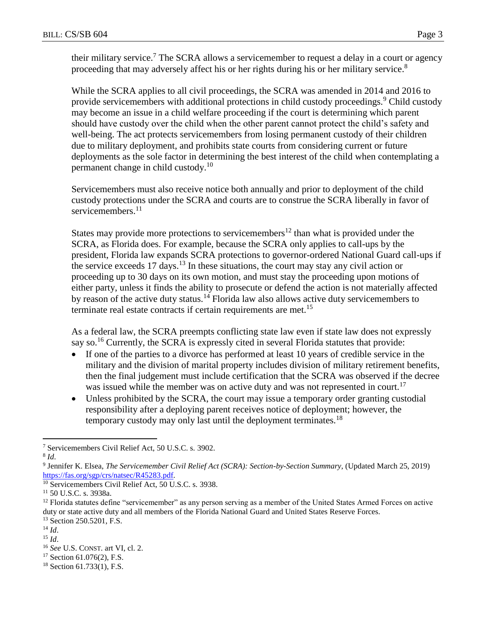their military service.<sup>7</sup> The SCRA allows a servicemember to request a delay in a court or agency proceeding that may adversely affect his or her rights during his or her military service.<sup>8</sup>

While the SCRA applies to all civil proceedings, the SCRA was amended in 2014 and 2016 to provide servicemembers with additional protections in child custody proceedings.<sup>9</sup> Child custody may become an issue in a child welfare proceeding if the court is determining which parent should have custody over the child when the other parent cannot protect the child's safety and well-being. The act protects servicemembers from losing permanent custody of their children due to military deployment, and prohibits state courts from considering current or future deployments as the sole factor in determining the best interest of the child when contemplating a permanent change in child custody.<sup>10</sup>

Servicemembers must also receive notice both annually and prior to deployment of the child custody protections under the SCRA and courts are to construe the SCRA liberally in favor of servicemembers.<sup>11</sup>

States may provide more protections to servicemembers<sup>12</sup> than what is provided under the SCRA, as Florida does. For example, because the SCRA only applies to call-ups by the president, Florida law expands SCRA protections to governor-ordered National Guard call-ups if the service exceeds 17 days.<sup>13</sup> In these situations, the court may stay any civil action or proceeding up to 30 days on its own motion, and must stay the proceeding upon motions of either party, unless it finds the ability to prosecute or defend the action is not materially affected by reason of the active duty status.<sup>14</sup> Florida law also allows active duty servicemembers to terminate real estate contracts if certain requirements are met.<sup>15</sup>

As a federal law, the SCRA preempts conflicting state law even if state law does not expressly say so.<sup>16</sup> Currently, the SCRA is expressly cited in several Florida statutes that provide:

- If one of the parties to a divorce has performed at least 10 years of credible service in the military and the division of marital property includes division of military retirement benefits, then the final judgement must include certification that the SCRA was observed if the decree was issued while the member was on active duty and was not represented in court.<sup>17</sup>
- Unless prohibited by the SCRA, the court may issue a temporary order granting custodial responsibility after a deploying parent receives notice of deployment; however, the temporary custody may only last until the deployment terminates.<sup>18</sup>

<sup>10</sup> Servicemembers Civil Relief Act, 50 U.S.C. s. 3938.

 $\overline{a}$ <sup>7</sup> Servicemembers Civil Relief Act, 50 U.S.C. s. 3902.

<sup>8</sup> *Id*.

<sup>9</sup> Jennifer K. Elsea, *The Servicemember Civil Relief Act (SCRA): Section-by-Section Summary*, (Updated March 25, 2019) [https://fas.org/sgp/crs/natsec/R45283.pdf.](https://fas.org/sgp/crs/natsec/R45283.pdf)

<sup>11</sup> 50 U.S.C. s. 3938a.

<sup>&</sup>lt;sup>12</sup> Florida statutes define "servicemember" as any person serving as a member of the United States Armed Forces on active duty or state active duty and all members of the Florida National Guard and United States Reserve Forces.

<sup>&</sup>lt;sup>13</sup> Section 250.5201, F.S.

<sup>14</sup> *Id*.

<sup>15</sup> *Id*.

<sup>16</sup> *See* U.S. CONST. art VI, cl. 2.

 $17$  Section 61.076(2), F.S.

<sup>18</sup> Section 61.733(1), F.S.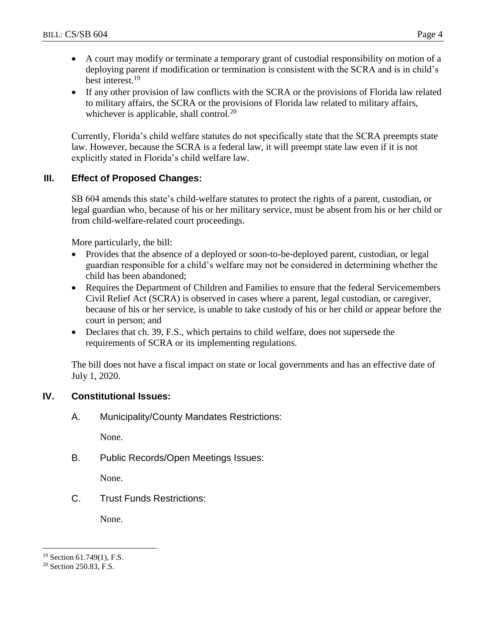- A court may modify or terminate a temporary grant of custodial responsibility on motion of a deploying parent if modification or termination is consistent with the SCRA and is in child's best interest.<sup>19</sup>
- If any other provision of law conflicts with the SCRA or the provisions of Florida law related to military affairs, the SCRA or the provisions of Florida law related to military affairs, whichever is applicable, shall control.<sup>20</sup>

Currently, Florida's child welfare statutes do not specifically state that the SCRA preempts state law. However, because the SCRA is a federal law, it will preempt state law even if it is not explicitly stated in Florida's child welfare law.

# **III. Effect of Proposed Changes:**

SB 604 amends this state's child-welfare statutes to protect the rights of a parent, custodian, or legal guardian who, because of his or her military service, must be absent from his or her child or from child-welfare-related court proceedings.

More particularly, the bill:

- Provides that the absence of a deployed or soon-to-be-deployed parent, custodian, or legal guardian responsible for a child's welfare may not be considered in determining whether the child has been abandoned;
- Requires the Department of Children and Families to ensure that the federal Servicemembers Civil Relief Act (SCRA) is observed in cases where a parent, legal custodian, or caregiver, because of his or her service, is unable to take custody of his or her child or appear before the court in person; and
- Declares that ch. 39, F.S., which pertains to child welfare, does not supersede the requirements of SCRA or its implementing regulations.

The bill does not have a fiscal impact on state or local governments and has an effective date of July 1, 2020.

# **IV. Constitutional Issues:**

A. Municipality/County Mandates Restrictions:

None.

B. Public Records/Open Meetings Issues:

None.

C. Trust Funds Restrictions:

None.

 $\overline{a}$ 

<sup>19</sup> Section 61.749(1), F.S.

<sup>&</sup>lt;sup>20</sup> Section 250.83, F.S.